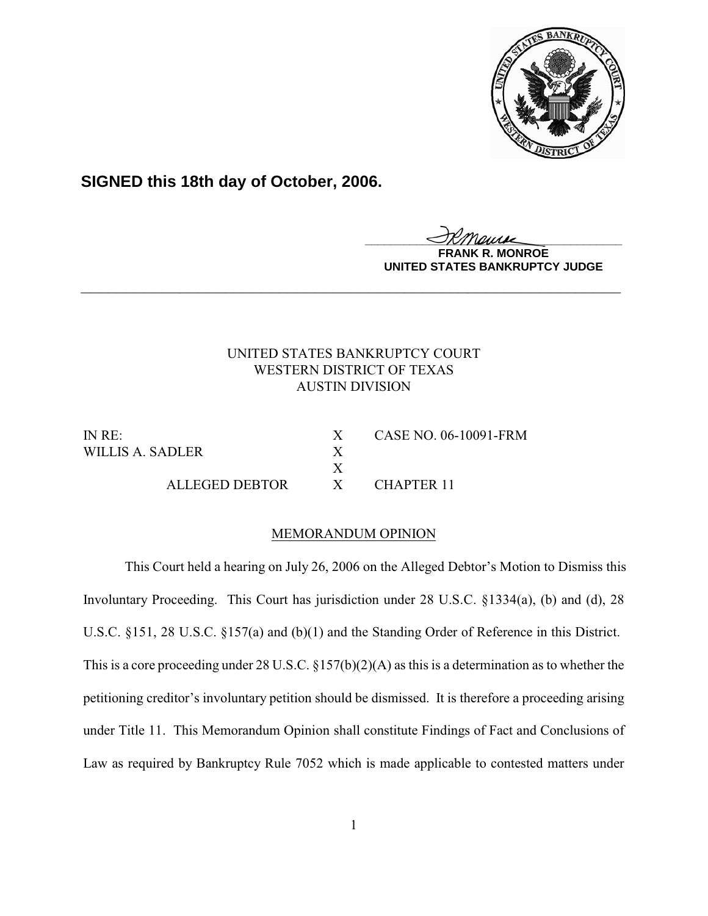

**SIGNED this 18th day of October, 2006.**

<u>IKThemse</u>

**MONROE UNITED STATES BANKRUPTCY JUDGE**

# UNITED STATES BANKRUPTCY COURT WESTERN DISTRICT OF TEXAS AUSTIN DIVISION

**\_\_\_\_\_\_\_\_\_\_\_\_\_\_\_\_\_\_\_\_\_\_\_\_\_\_\_\_\_\_\_\_\_\_\_\_\_\_\_\_\_\_\_\_\_\_\_\_\_\_\_\_\_\_\_\_\_\_\_\_**

WILLIS A. SADLER X

ALLEGED DEBTOR X CHAPTER 11

IN RE: X CASE NO. 06-10091-FRM

# MEMORANDUM OPINION

X

This Court held a hearing on July 26, 2006 on the Alleged Debtor's Motion to Dismiss this Involuntary Proceeding. This Court has jurisdiction under 28 U.S.C. §1334(a), (b) and (d), 28 U.S.C. §151, 28 U.S.C. §157(a) and (b)(1) and the Standing Order of Reference in this District. This is a core proceeding under 28 U.S.C. §157(b)(2)(A) as this is a determination as to whether the petitioning creditor's involuntary petition should be dismissed. It is therefore a proceeding arising under Title 11. This Memorandum Opinion shall constitute Findings of Fact and Conclusions of Law as required by Bankruptcy Rule 7052 which is made applicable to contested matters under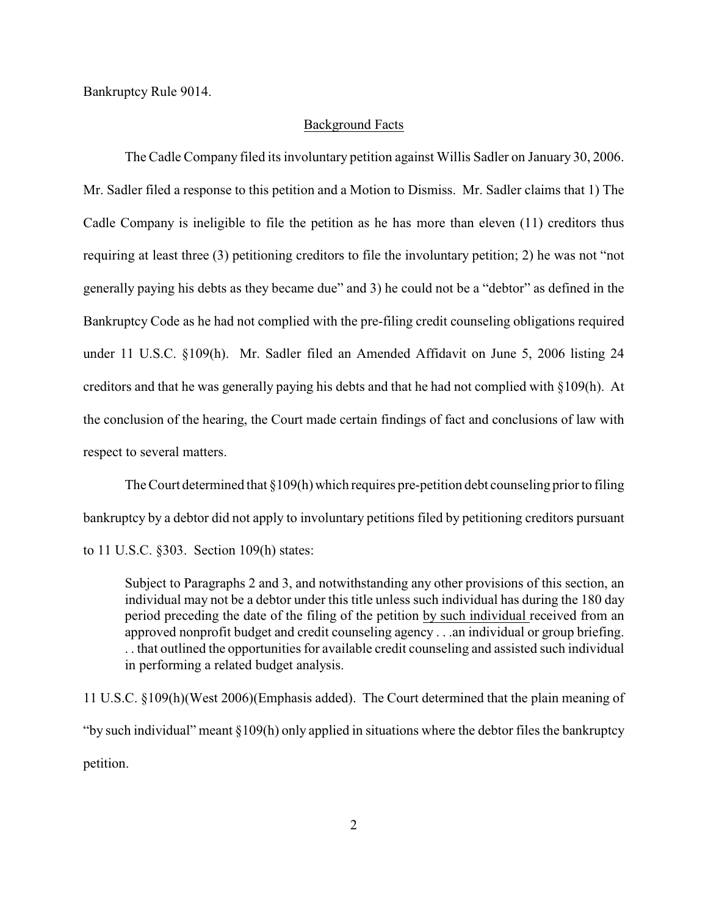Bankruptcy Rule 9014.

#### Background Facts

The Cadle Company filed its involuntary petition against Willis Sadler on January 30, 2006. Mr. Sadler filed a response to this petition and a Motion to Dismiss. Mr. Sadler claims that 1) The Cadle Company is ineligible to file the petition as he has more than eleven (11) creditors thus requiring at least three (3) petitioning creditors to file the involuntary petition; 2) he was not "not generally paying his debts as they became due" and 3) he could not be a "debtor" as defined in the Bankruptcy Code as he had not complied with the pre-filing credit counseling obligations required under 11 U.S.C. §109(h). Mr. Sadler filed an Amended Affidavit on June 5, 2006 listing 24 creditors and that he was generally paying his debts and that he had not complied with §109(h). At the conclusion of the hearing, the Court made certain findings of fact and conclusions of law with respect to several matters.

The Court determined that  $\S 109(h)$  which requires pre-petition debt counseling prior to filing bankruptcy by a debtor did not apply to involuntary petitions filed by petitioning creditors pursuant to 11 U.S.C. §303. Section 109(h) states:

Subject to Paragraphs 2 and 3, and notwithstanding any other provisions of this section, an individual may not be a debtor under this title unless such individual has during the 180 day period preceding the date of the filing of the petition by such individual received from an approved nonprofit budget and credit counseling agency . . .an individual or group briefing. . . that outlined the opportunities for available credit counseling and assisted such individual in performing a related budget analysis.

11 U.S.C. §109(h)(West 2006)(Emphasis added). The Court determined that the plain meaning of "by such individual" meant §109(h) only applied in situations where the debtor files the bankruptcy petition.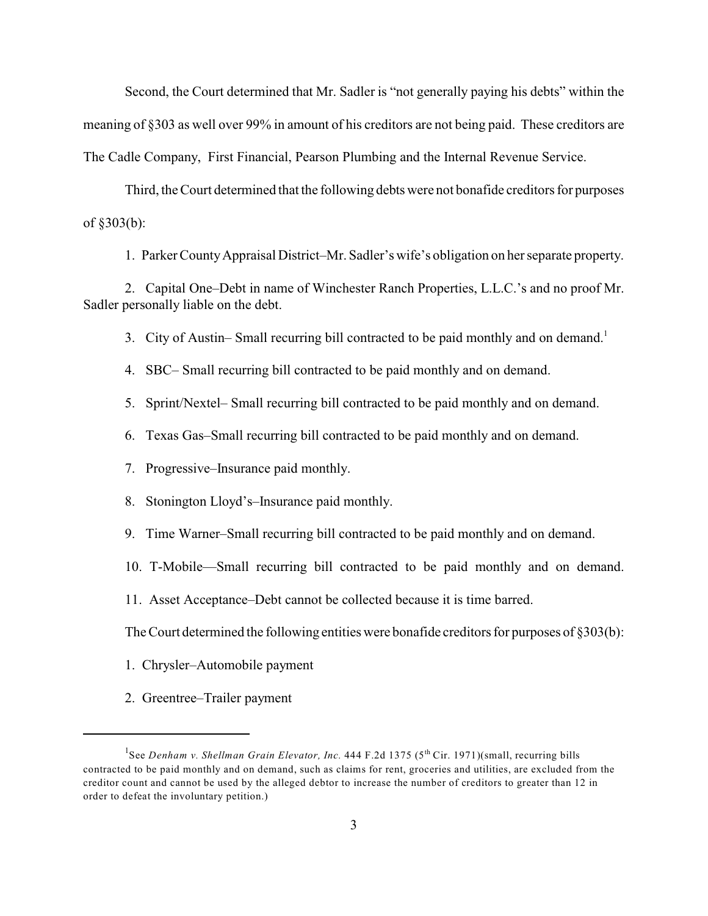Second, the Court determined that Mr. Sadler is "not generally paying his debts" within the meaning of §303 as well over 99% in amount of his creditors are not being paid. These creditors are The Cadle Company, First Financial, Pearson Plumbing and the Internal Revenue Service.

Third, the Court determined that the following debts were not bonafide creditors for purposes of §303(b):

1. Parker County Appraisal District–Mr. Sadler's wife's obligation on her separate property.

2. Capital One–Debt in name of Winchester Ranch Properties, L.L.C.'s and no proof Mr. Sadler personally liable on the debt.

3. City of Austin– Small recurring bill contracted to be paid monthly and on demand.<sup>1</sup>

4. SBC– Small recurring bill contracted to be paid monthly and on demand.

5. Sprint/Nextel– Small recurring bill contracted to be paid monthly and on demand.

6. Texas Gas–Small recurring bill contracted to be paid monthly and on demand.

7. Progressive–Insurance paid monthly.

8. Stonington Lloyd's–Insurance paid monthly.

9. Time Warner–Small recurring bill contracted to be paid monthly and on demand.

10. T-Mobile—Small recurring bill contracted to be paid monthly and on demand.

11. Asset Acceptance–Debt cannot be collected because it is time barred.

The Court determined the following entities were bonafide creditors for purposes of §303(b):

- 1. Chrysler–Automobile payment
- 2. Greentree–Trailer payment

<sup>&</sup>lt;sup>1</sup>See *Denham v. Shellman Grain Elevator, Inc.* 444 F.2d 1375 (5<sup>th</sup> Cir. 1971)(small, recurring bills contracted to be paid monthly and on demand, such as claims for rent, groceries and utilities, are excluded from the creditor count and cannot be used by the alleged debtor to increase the number of creditors to greater than 12 in order to defeat the involuntary petition.)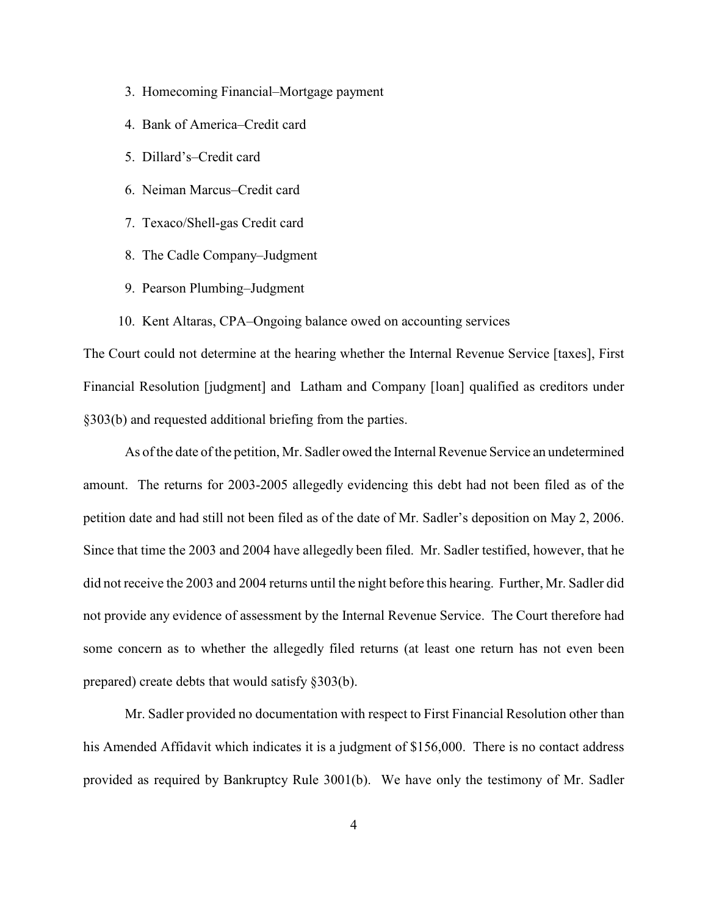- 3. Homecoming Financial–Mortgage payment
- 4. Bank of America–Credit card
- 5. Dillard's–Credit card
- 6. Neiman Marcus–Credit card
- 7. Texaco/Shell-gas Credit card
- 8. The Cadle Company–Judgment
- 9. Pearson Plumbing–Judgment
- 10. Kent Altaras, CPA–Ongoing balance owed on accounting services

The Court could not determine at the hearing whether the Internal Revenue Service [taxes], First Financial Resolution [judgment] and Latham and Company [loan] qualified as creditors under §303(b) and requested additional briefing from the parties.

As of the date of the petition, Mr. Sadler owed the Internal Revenue Service an undetermined amount. The returns for 2003-2005 allegedly evidencing this debt had not been filed as of the petition date and had still not been filed as of the date of Mr. Sadler's deposition on May 2, 2006. Since that time the 2003 and 2004 have allegedly been filed. Mr. Sadler testified, however, that he did not receive the 2003 and 2004 returns until the night before this hearing. Further, Mr. Sadler did not provide any evidence of assessment by the Internal Revenue Service. The Court therefore had some concern as to whether the allegedly filed returns (at least one return has not even been prepared) create debts that would satisfy §303(b).

Mr. Sadler provided no documentation with respect to First Financial Resolution other than his Amended Affidavit which indicates it is a judgment of \$156,000. There is no contact address provided as required by Bankruptcy Rule 3001(b). We have only the testimony of Mr. Sadler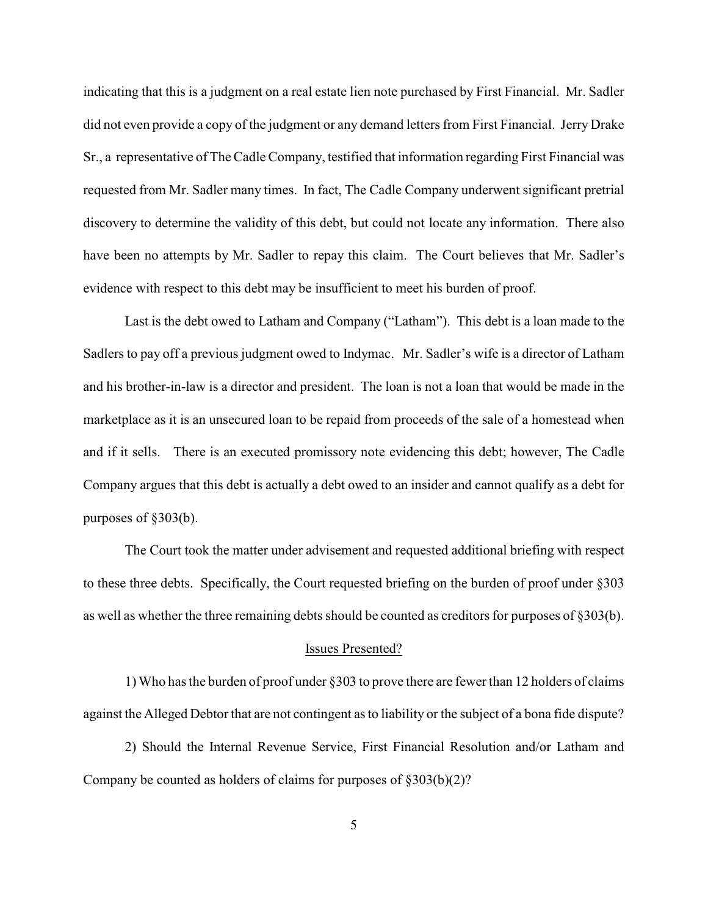indicating that this is a judgment on a real estate lien note purchased by First Financial. Mr. Sadler did not even provide a copy of the judgment or any demand letters from First Financial. Jerry Drake Sr., a representative of The Cadle Company, testified that information regarding First Financial was requested from Mr. Sadler many times. In fact, The Cadle Company underwent significant pretrial discovery to determine the validity of this debt, but could not locate any information. There also have been no attempts by Mr. Sadler to repay this claim. The Court believes that Mr. Sadler's evidence with respect to this debt may be insufficient to meet his burden of proof.

Last is the debt owed to Latham and Company ("Latham"). This debt is a loan made to the Sadlers to pay off a previous judgment owed to Indymac. Mr. Sadler's wife is a director of Latham and his brother-in-law is a director and president. The loan is not a loan that would be made in the marketplace as it is an unsecured loan to be repaid from proceeds of the sale of a homestead when and if it sells. There is an executed promissory note evidencing this debt; however, The Cadle Company argues that this debt is actually a debt owed to an insider and cannot qualify as a debt for purposes of §303(b).

The Court took the matter under advisement and requested additional briefing with respect to these three debts. Specifically, the Court requested briefing on the burden of proof under §303 as well as whether the three remaining debts should be counted as creditors for purposes of §303(b).

### Issues Presented?

1) Who has the burden of proof under §303 to prove there are fewer than 12 holders of claims against the Alleged Debtor that are not contingent as to liability or the subject of a bona fide dispute?

2) Should the Internal Revenue Service, First Financial Resolution and/or Latham and Company be counted as holders of claims for purposes of §303(b)(2)?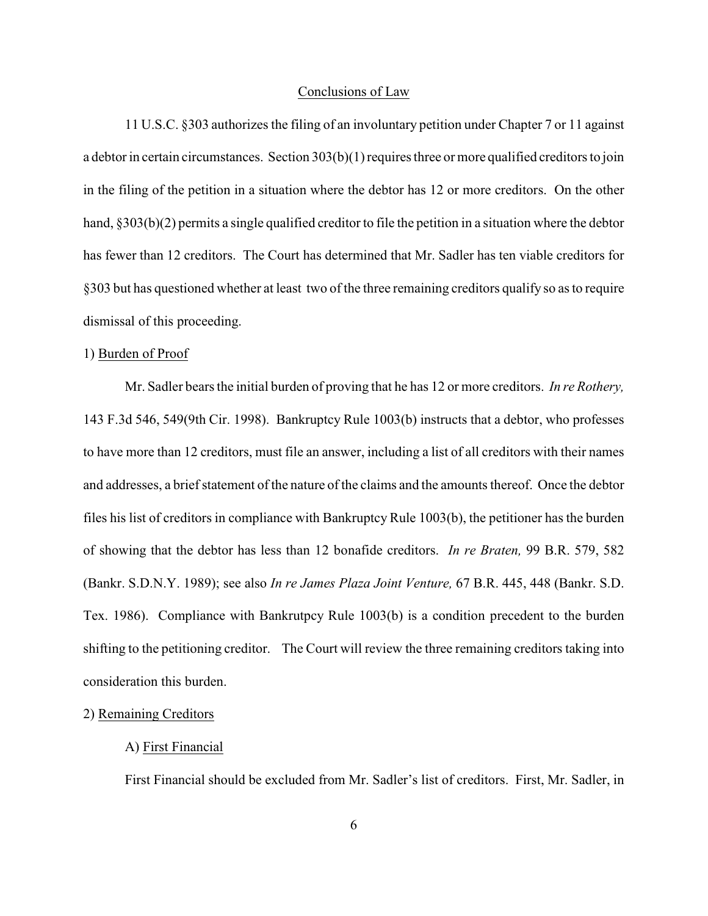#### Conclusions of Law

11 U.S.C. §303 authorizes the filing of an involuntary petition under Chapter 7 or 11 against a debtor in certain circumstances. Section  $303(b)(1)$  requires three or more qualified creditors to join in the filing of the petition in a situation where the debtor has 12 or more creditors. On the other hand, §303(b)(2) permits a single qualified creditor to file the petition in a situation where the debtor has fewer than 12 creditors. The Court has determined that Mr. Sadler has ten viable creditors for §303 but has questioned whether at least two of the three remaining creditors qualify so as to require dismissal of this proceeding.

#### 1) Burden of Proof

Mr. Sadler bears the initial burden of proving that he has 12 or more creditors. *In re Rothery,* 143 F.3d 546, 549(9th Cir. 1998). Bankruptcy Rule 1003(b) instructs that a debtor, who professes to have more than 12 creditors, must file an answer, including a list of all creditors with their names and addresses, a brief statement of the nature of the claims and the amounts thereof. Once the debtor files his list of creditors in compliance with Bankruptcy Rule 1003(b), the petitioner has the burden of showing that the debtor has less than 12 bonafide creditors. *In re Braten,* 99 B.R. 579, 582 (Bankr. S.D.N.Y. 1989); see also *In re James Plaza Joint Venture,* 67 B.R. 445, 448 (Bankr. S.D. Tex. 1986). Compliance with Bankrutpcy Rule 1003(b) is a condition precedent to the burden shifting to the petitioning creditor. The Court will review the three remaining creditors taking into consideration this burden.

# 2) Remaining Creditors

## A) First Financial

First Financial should be excluded from Mr. Sadler's list of creditors. First, Mr. Sadler, in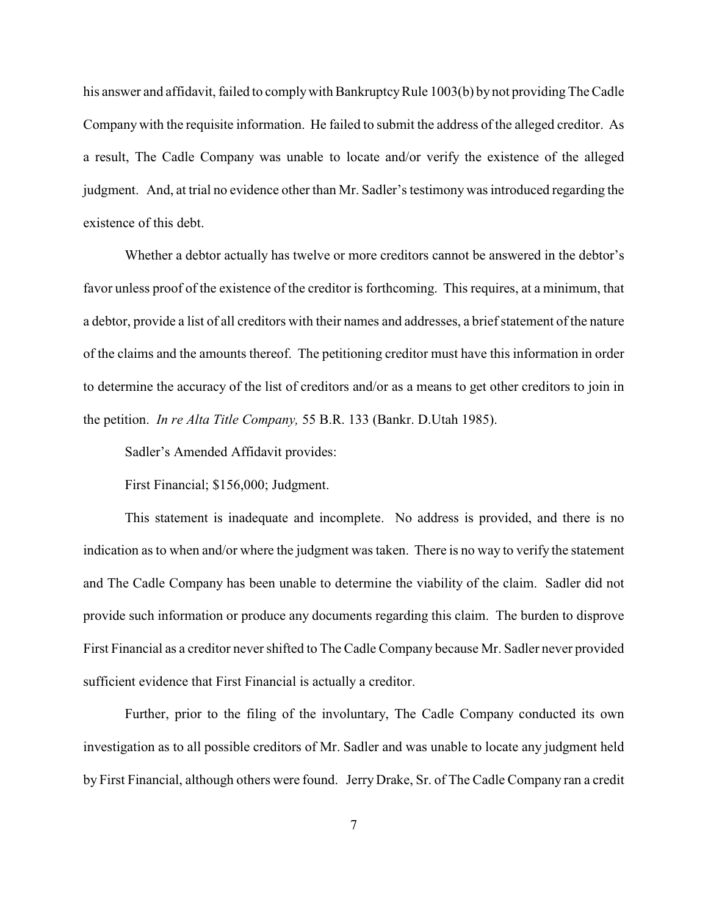his answer and affidavit, failed to comply with Bankruptcy Rule 1003(b) by not providing The Cadle Company with the requisite information. He failed to submit the address of the alleged creditor. As a result, The Cadle Company was unable to locate and/or verify the existence of the alleged judgment. And, at trial no evidence other than Mr. Sadler's testimony was introduced regarding the existence of this debt.

Whether a debtor actually has twelve or more creditors cannot be answered in the debtor's favor unless proof of the existence of the creditor is forthcoming. This requires, at a minimum, that a debtor, provide a list of all creditors with their names and addresses, a brief statement of the nature of the claims and the amounts thereof. The petitioning creditor must have this information in order to determine the accuracy of the list of creditors and/or as a means to get other creditors to join in the petition. *In re Alta Title Company,* 55 B.R. 133 (Bankr. D.Utah 1985).

Sadler's Amended Affidavit provides:

First Financial; \$156,000; Judgment.

This statement is inadequate and incomplete. No address is provided, and there is no indication as to when and/or where the judgment was taken. There is no way to verify the statement and The Cadle Company has been unable to determine the viability of the claim. Sadler did not provide such information or produce any documents regarding this claim. The burden to disprove First Financial as a creditor never shifted to The Cadle Company because Mr. Sadler never provided sufficient evidence that First Financial is actually a creditor.

Further, prior to the filing of the involuntary, The Cadle Company conducted its own investigation as to all possible creditors of Mr. Sadler and was unable to locate any judgment held by First Financial, although others were found. Jerry Drake, Sr. of The Cadle Company ran a credit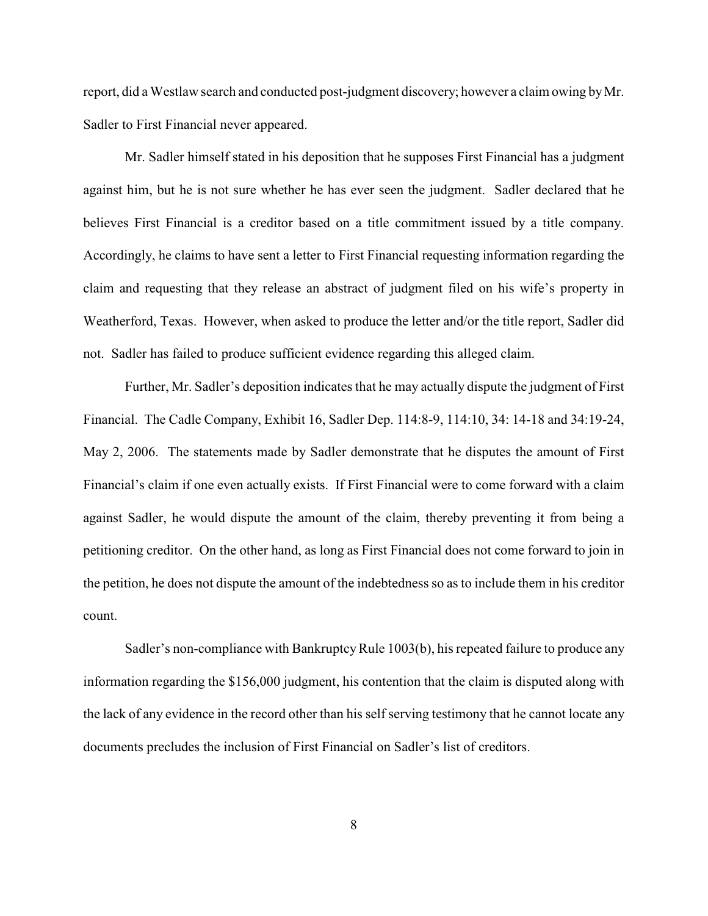report, did a Westlaw search and conducted post-judgment discovery; however a claim owing by Mr. Sadler to First Financial never appeared.

Mr. Sadler himself stated in his deposition that he supposes First Financial has a judgment against him, but he is not sure whether he has ever seen the judgment. Sadler declared that he believes First Financial is a creditor based on a title commitment issued by a title company. Accordingly, he claims to have sent a letter to First Financial requesting information regarding the claim and requesting that they release an abstract of judgment filed on his wife's property in Weatherford, Texas. However, when asked to produce the letter and/or the title report, Sadler did not. Sadler has failed to produce sufficient evidence regarding this alleged claim.

Further, Mr. Sadler's deposition indicates that he may actually dispute the judgment of First Financial. The Cadle Company, Exhibit 16, Sadler Dep. 114:8-9, 114:10, 34: 14-18 and 34:19-24, May 2, 2006. The statements made by Sadler demonstrate that he disputes the amount of First Financial's claim if one even actually exists. If First Financial were to come forward with a claim against Sadler, he would dispute the amount of the claim, thereby preventing it from being a petitioning creditor. On the other hand, as long as First Financial does not come forward to join in the petition, he does not dispute the amount of the indebtedness so as to include them in his creditor count.

Sadler's non-compliance with Bankruptcy Rule 1003(b), his repeated failure to produce any information regarding the \$156,000 judgment, his contention that the claim is disputed along with the lack of any evidence in the record other than his self serving testimony that he cannot locate any documents precludes the inclusion of First Financial on Sadler's list of creditors.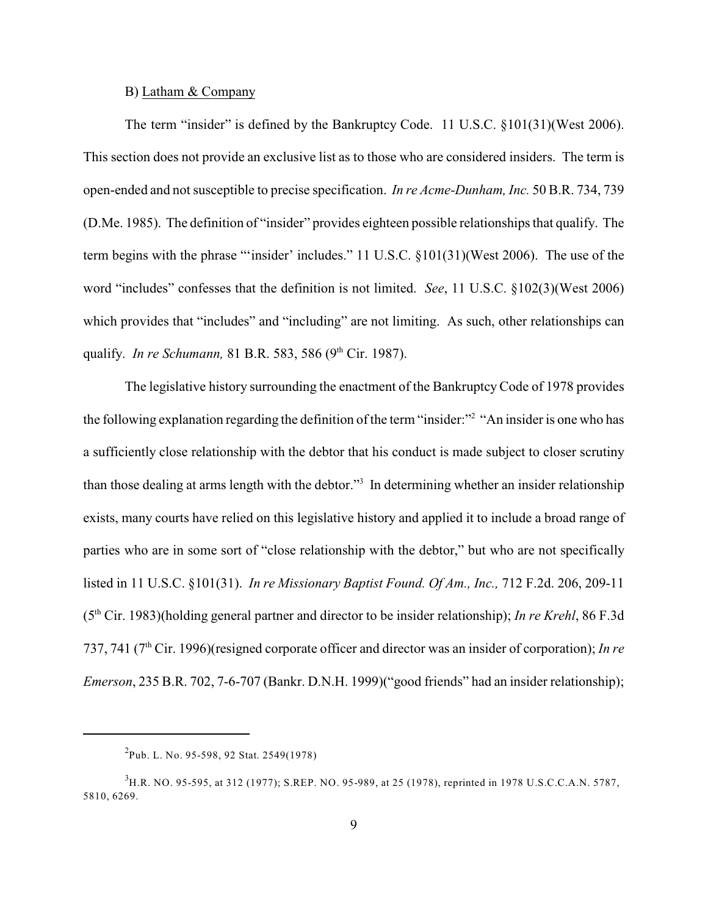# B) Latham & Company

The term "insider" is defined by the Bankruptcy Code. 11 U.S.C. §101(31)(West 2006). This section does not provide an exclusive list as to those who are considered insiders. The term is open-ended and not susceptible to precise specification. *In re Acme-Dunham, Inc.* 50 B.R. 734, 739 (D.Me. 1985). The definition of "insider" provides eighteen possible relationships that qualify. The term begins with the phrase "'insider' includes." 11 U.S.C. §101(31)(West 2006). The use of the word "includes" confesses that the definition is not limited. *See*, 11 U.S.C. §102(3)(West 2006) which provides that "includes" and "including" are not limiting. As such, other relationships can qualify. *In re Schumann*, 81 B.R. 583, 586 (9<sup>th</sup> Cir. 1987).

The legislative history surrounding the enactment of the Bankruptcy Code of 1978 provides the following explanation regarding the definition of the term "insider:"<sup>2</sup> "An insider is one who has a sufficiently close relationship with the debtor that his conduct is made subject to closer scrutiny than those dealing at arms length with the debtor."<sup>3</sup> In determining whether an insider relationship exists, many courts have relied on this legislative history and applied it to include a broad range of parties who are in some sort of "close relationship with the debtor," but who are not specifically listed in 11 U.S.C. §101(31). *In re Missionary Baptist Found. Of Am., Inc.,* 712 F.2d. 206, 209-11  $(5<sup>th</sup> Cir. 1983)$ (holding general partner and director to be insider relationship); *In re Krehl*, 86 F.3d 737, 741 (7<sup>th</sup> Cir. 1996)(resigned corporate officer and director was an insider of corporation); *In re Emerson*, 235 B.R. 702, 7-6-707 (Bankr. D.N.H. 1999)("good friends" had an insider relationship);

 $^{2}$ Pub. L. No. 95-598, 92 Stat. 2549(1978)

<sup>&</sup>lt;sup>3</sup>H.R. NO. 95-595, at 312 (1977); S.REP. NO. 95-989, at 25 (1978), reprinted in 1978 U.S.C.C.A.N. 5787, 5810, 6269.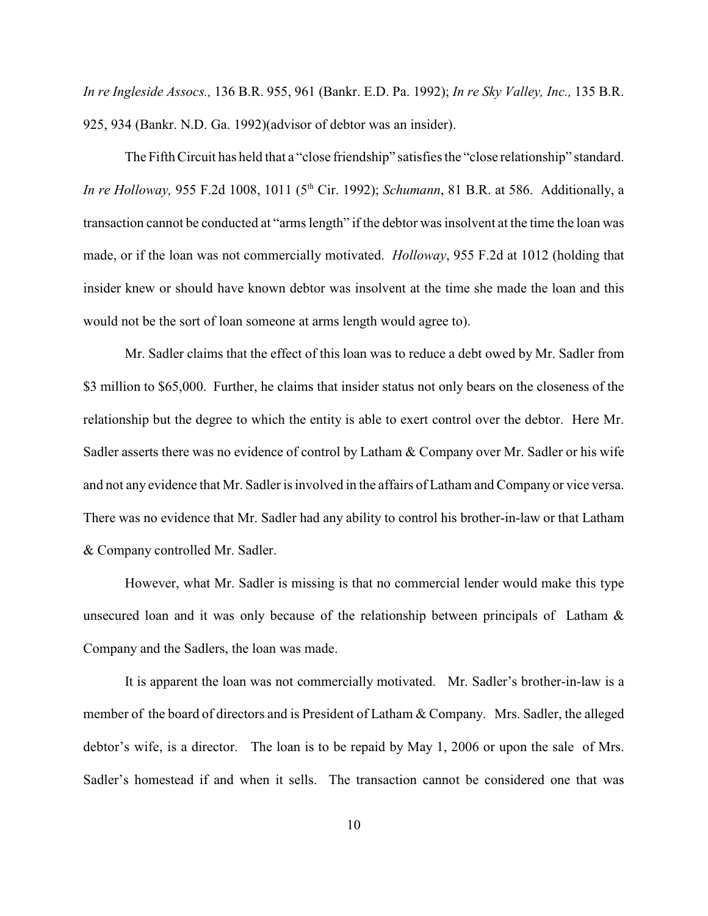*In re Ingleside Assocs.,* 136 B.R. 955, 961 (Bankr. E.D. Pa. 1992); *In re Sky Valley, Inc.,* 135 B.R. 925, 934 (Bankr. N.D. Ga. 1992)(advisor of debtor was an insider).

The Fifth Circuit has held that a "close friendship" satisfies the "close relationship" standard. *In re Holloway*, 955 F.2d 1008, 1011 (5<sup>th</sup> Cir. 1992); *Schumann*, 81 B.R. at 586. Additionally, a transaction cannot be conducted at "arms length" if the debtor was insolvent at the time the loan was made, or if the loan was not commercially motivated. *Holloway*, 955 F.2d at 1012 (holding that insider knew or should have known debtor was insolvent at the time she made the loan and this would not be the sort of loan someone at arms length would agree to).

Mr. Sadler claims that the effect of this loan was to reduce a debt owed by Mr. Sadler from \$3 million to \$65,000. Further, he claims that insider status not only bears on the closeness of the relationship but the degree to which the entity is able to exert control over the debtor. Here Mr. Sadler asserts there was no evidence of control by Latham & Company over Mr. Sadler or his wife and not any evidence that Mr. Sadler is involved in the affairs of Latham and Company or vice versa. There was no evidence that Mr. Sadler had any ability to control his brother-in-law or that Latham & Company controlled Mr. Sadler.

However, what Mr. Sadler is missing is that no commercial lender would make this type unsecured loan and it was only because of the relationship between principals of Latham & Company and the Sadlers, the loan was made.

It is apparent the loan was not commercially motivated. Mr. Sadler's brother-in-law is a member of the board of directors and is President of Latham & Company. Mrs. Sadler, the alleged debtor's wife, is a director. The loan is to be repaid by May 1, 2006 or upon the sale of Mrs. Sadler's homestead if and when it sells. The transaction cannot be considered one that was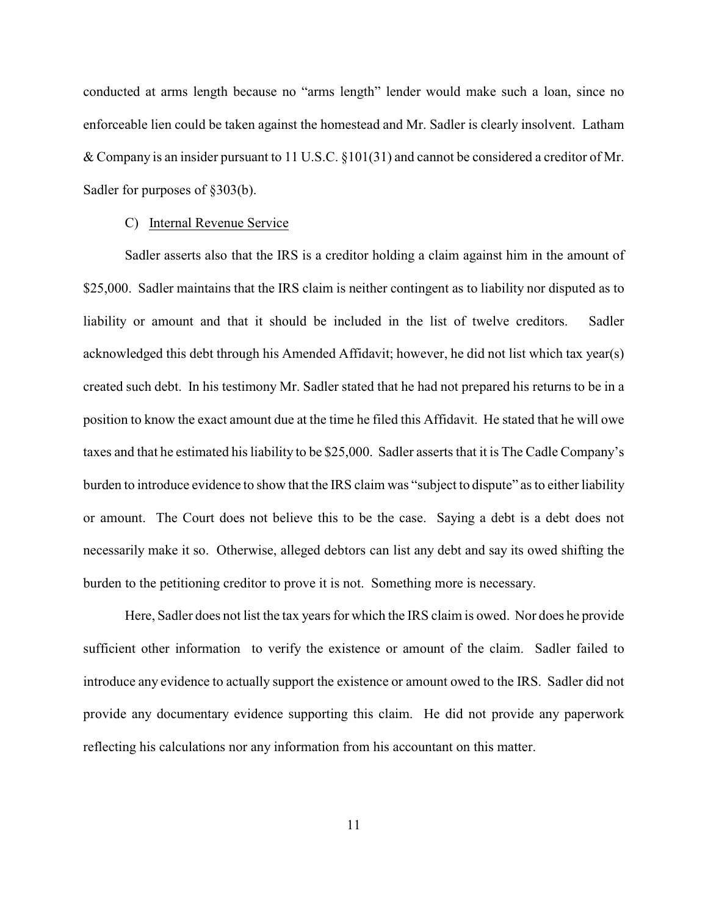conducted at arms length because no "arms length" lender would make such a loan, since no enforceable lien could be taken against the homestead and Mr. Sadler is clearly insolvent. Latham & Company is an insider pursuant to 11 U.S.C. §101(31) and cannot be considered a creditor of Mr. Sadler for purposes of §303(b).

### C) Internal Revenue Service

Sadler asserts also that the IRS is a creditor holding a claim against him in the amount of \$25,000. Sadler maintains that the IRS claim is neither contingent as to liability nor disputed as to liability or amount and that it should be included in the list of twelve creditors. Sadler acknowledged this debt through his Amended Affidavit; however, he did not list which tax year(s) created such debt. In his testimony Mr. Sadler stated that he had not prepared his returns to be in a position to know the exact amount due at the time he filed this Affidavit. He stated that he will owe taxes and that he estimated his liability to be \$25,000. Sadler asserts that it is The Cadle Company's burden to introduce evidence to show that the IRS claim was "subject to dispute" as to either liability or amount. The Court does not believe this to be the case. Saying a debt is a debt does not necessarily make it so. Otherwise, alleged debtors can list any debt and say its owed shifting the burden to the petitioning creditor to prove it is not. Something more is necessary.

Here, Sadler does not list the tax years for which the IRS claim is owed. Nor does he provide sufficient other information to verify the existence or amount of the claim. Sadler failed to introduce any evidence to actually support the existence or amount owed to the IRS. Sadler did not provide any documentary evidence supporting this claim. He did not provide any paperwork reflecting his calculations nor any information from his accountant on this matter.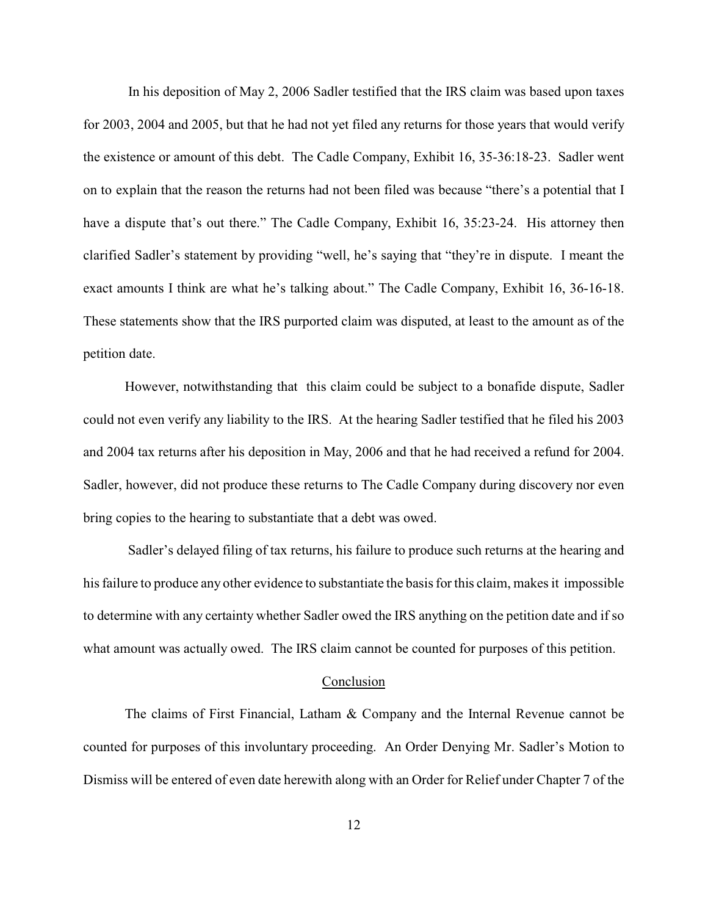In his deposition of May 2, 2006 Sadler testified that the IRS claim was based upon taxes for 2003, 2004 and 2005, but that he had not yet filed any returns for those years that would verify the existence or amount of this debt. The Cadle Company, Exhibit 16, 35-36:18-23. Sadler went on to explain that the reason the returns had not been filed was because "there's a potential that I have a dispute that's out there." The Cadle Company, Exhibit 16, 35:23-24. His attorney then clarified Sadler's statement by providing "well, he's saying that "they're in dispute. I meant the exact amounts I think are what he's talking about." The Cadle Company, Exhibit 16, 36-16-18. These statements show that the IRS purported claim was disputed, at least to the amount as of the petition date.

However, notwithstanding that this claim could be subject to a bonafide dispute, Sadler could not even verify any liability to the IRS. At the hearing Sadler testified that he filed his 2003 and 2004 tax returns after his deposition in May, 2006 and that he had received a refund for 2004. Sadler, however, did not produce these returns to The Cadle Company during discovery nor even bring copies to the hearing to substantiate that a debt was owed.

 Sadler's delayed filing of tax returns, his failure to produce such returns at the hearing and his failure to produce any other evidence to substantiate the basis for this claim, makes it impossible to determine with any certainty whether Sadler owed the IRS anything on the petition date and if so what amount was actually owed. The IRS claim cannot be counted for purposes of this petition.

# Conclusion

The claims of First Financial, Latham & Company and the Internal Revenue cannot be counted for purposes of this involuntary proceeding. An Order Denying Mr. Sadler's Motion to Dismiss will be entered of even date herewith along with an Order for Relief under Chapter 7 of the